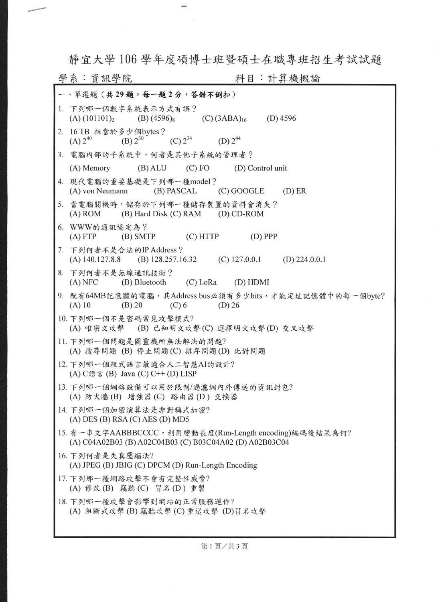靜宜大學 <sup>106</sup> 學年度碩博士班暨碩士在職專班招生考試試題

mi

戶-

| 科目:計算機概論<br>學系:資訊學院                                                                                                |  |  |  |  |  |  |  |
|--------------------------------------------------------------------------------------------------------------------|--|--|--|--|--|--|--|
| 一、單選題 (共29題,每一題2分,答錯不倒扣)                                                                                           |  |  |  |  |  |  |  |
| 1. 下列哪一個數字系統表示方式有誤?<br>(A) $(101101)_2$ (B) $(4596)_8$ (C) $(3ABA)_{16}$ (D) 4596                                  |  |  |  |  |  |  |  |
| 2. 16 TB 相當於多少個bytes?<br>(A) $2^{40}$ (B) $2^{30}$ (C) $2^{34}$ (D) $2^{44}$                                       |  |  |  |  |  |  |  |
| 3. 電腦內部的子系統中,何者是其他子系統的管理者?                                                                                         |  |  |  |  |  |  |  |
| (A) Memory (B) ALU (C) I/O (D) Control unit                                                                        |  |  |  |  |  |  |  |
| 4. 現代電腦的重要基礎是下列哪一種model?<br>(A) von Neumann (B) PASCAL (C) GOOGLE (D) ER                                           |  |  |  |  |  |  |  |
| 5. 當電腦關機時,儲存於下列哪一種儲存裝置的資料會消失?<br>(A) ROM (B) Hard Disk (C) RAM (D) CD-ROM                                          |  |  |  |  |  |  |  |
| 6. WWW的通訊協定為?<br>(A) FTP (B) SMTP (C) HTTP (D) PPP                                                                 |  |  |  |  |  |  |  |
| 7. 下列何者不是合法的IP Address ?<br>(A) $140.127.8.8$ (B) $128.257.16.32$ (C) $127.0.0.1$ (D) $224.0.0.1$                  |  |  |  |  |  |  |  |
| 8. 下列何者不是無線通訊技術?<br>(A) NFC (B) Bluetooth (C) LoRa (D) HDMI                                                        |  |  |  |  |  |  |  |
| 9. 配有64MB記憶體的電腦,其Address bus必須有多少bits,才能定址記憶體中的每一個byte?<br>(A) 10<br>(B) 20 (C) 6 (D) 26                           |  |  |  |  |  |  |  |
| 10. 下列哪一個不是密碼常見攻擊模式?<br>(A) 唯密文攻擊 (B) 已知明文攻擊(C) 選擇明文攻擊(D) 交叉攻擊                                                     |  |  |  |  |  |  |  |
| 11. 下列哪一個問題是圖靈機所無法解決的問題?<br>(A) 搜尋問題 (B) 停止問題(C) 排序問題(D) 比對問題                                                      |  |  |  |  |  |  |  |
| 12. 下列哪一個程式語言最適合人工智慧AI的設計?<br>(A) $C$ 語言 (B) Java (C) $C++$ (D) LISP                                               |  |  |  |  |  |  |  |
| 13. 下列哪一個網路設備可以用於限制/過濾網內外傳送的資訊封包?<br>(A) 防火牆(B) 增強器(C) 路由器(D) 交換器                                                  |  |  |  |  |  |  |  |
| 14. 下列哪一個加密演算法是非對稱式加密?<br>$(A)$ DES $(B)$ RSA $(C)$ AES $(D)$ MD5                                                  |  |  |  |  |  |  |  |
| 15. 有一串文字AABBBCCCC, 利用變動長度(Run-Length encoding)編碼後結果為何?<br>(A) C04A02B03 (B) A02C04B03 (C) B03C04A02 (D) A02B03C04 |  |  |  |  |  |  |  |
| 16. 下列何者是失真壓縮法?<br>(A) JPEG (B) JBIG (C) DPCM (D) Run-Length Encoding                                              |  |  |  |  |  |  |  |
| 17. 下列那一種網路攻擊不會有完整性威脅?<br>(A) 修改(B) 竊聽(C) 冒名(D) 重製                                                                 |  |  |  |  |  |  |  |
| 18. 下列哪一種攻擊會影響到網站的正常服務運作?<br>(A) 阻斷式攻擊(B) 竊聽攻擊(C) 重送攻擊 (D)冒名攻擊                                                     |  |  |  |  |  |  |  |

第1頁/共3頁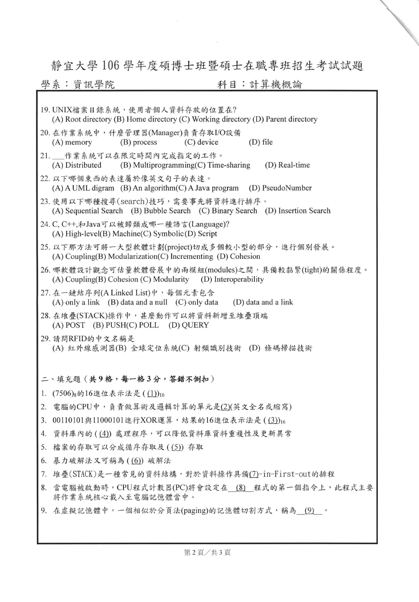## 靜宜大學 <sup>106</sup> 學年度碩博士班暨碩士在職專班招生考試試題

 $\propto$ 

## 學系:資訊學院 利目:計算機概論

| 19. UNIX檔案目錄系統,使用者個人資料存放的位置在?<br>(A) Root directory (B) Home directory (C) Working directory (D) Parent directory      |  |  |  |  |  |  |
|------------------------------------------------------------------------------------------------------------------------|--|--|--|--|--|--|
| 20. 在作業系統中, 什麼管理器(Manager)負責存取I/O設備<br>(A) memory (B) process (C) device<br>$(D)$ file                                 |  |  |  |  |  |  |
| 21. 作業系統可以在限定時間內完成指定的工作。<br>(A) Distributed (B) Multiprogramming(C) Time-sharing (D) Real-time                         |  |  |  |  |  |  |
| 22. 以下哪個東西的表達屬於像英文句子的表達。<br>$(A)$ A UML digram $(B)$ An algorithm $(C)$ A Java program $(D)$ PseudoNumber              |  |  |  |  |  |  |
| 23. 使用以下哪種搜尋(search)技巧, 需要事先將資料進行排序。<br>(A) Sequential Search (B) Bubble Search (C) Binary Search (D) Insertion Search |  |  |  |  |  |  |
| 24. C, C++,和Java可以被歸類成哪一種語言(Language)?<br>$(A)$ High-level $(B)$ Machine $(C)$ Symbolic $(D)$ Script                   |  |  |  |  |  |  |
| 25. 以下那方法可將一大型軟體計劃(project)切成多個較小型的部分,進行個別發展。<br>$(A)$ Coupling(B) Modularization(C) Incrementing (D) Cohesion         |  |  |  |  |  |  |
| 26. 哪軟體設計觀念可估量軟體發展中的兩模組(modules)之間,具備較黏緊(tight)的關係程度。<br>(A) Coupling(B) Cohesion (C) Modularity (D) Interoperability  |  |  |  |  |  |  |
| 27. 在一鏈結序列(A Linked List)中, 每個元素包含<br>(A) only a link (B) data and a null (C) only data (D) data and a link            |  |  |  |  |  |  |
| 28. 在堆疊(STACK)操作中, 甚麼動作可以將資料新增至堆疊頂端<br>$(A)$ POST $(B)$ PUSH $(C)$ POLL $(D)$ QUERY                                    |  |  |  |  |  |  |
| 29. 請問RFID的中文名稱是<br>(A) 紅外線感測器(B) 全球定位系統(C) 射頻識別技術 (D) 條碼掃描技術                                                          |  |  |  |  |  |  |
| 二、填充題 (共9格,每一格3分,答錯不倒扣)                                                                                                |  |  |  |  |  |  |
| 1. $(7506)_{8}$ 的16進位表示法是 $((1))_{16}$                                                                                 |  |  |  |  |  |  |
| 2. 電腦的CPU中,負責做算術及邏輯計算的單元是(2)(英文全名或縮寫)                                                                                  |  |  |  |  |  |  |
| 3. 00110101與11000101進行XOR運算,結果的16進位表示法是((3))16                                                                         |  |  |  |  |  |  |
| 資料庫內的((4))處理程序,可以降低資料庫資料重複性及更新異常<br>4.                                                                                 |  |  |  |  |  |  |
| 5. 檔案的存取可以分成循序存取及((5))存取                                                                                               |  |  |  |  |  |  |
| 6. 暴力破解法又可稱為((6))破解法                                                                                                   |  |  |  |  |  |  |
| 堆疊(STACK)是一種常見的資料結構,對於資料操作具備(7)-in-First-out的排程<br>7.                                                                  |  |  |  |  |  |  |
| 當電腦被啟動時, CPU程式計數器(PC)將會設定在 (8) 程式的第一個指令上, 此程式主要<br>8.<br>將作業系統核心載入至電腦記憶體當中。                                            |  |  |  |  |  |  |
| 9. 在虚擬記憶體中,一個相似於分頁法(paging)的記憶體切割方式,稱為 (9) 。                                                                           |  |  |  |  |  |  |
|                                                                                                                        |  |  |  |  |  |  |